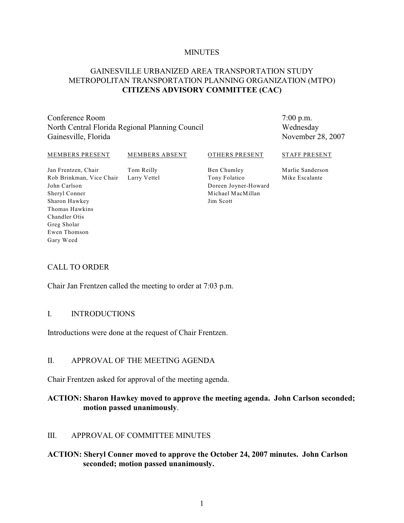### **MINUTES**

# GAINESVILLE URBANIZED AREA TRANSPORTATION STUDY METROPOLITAN TRANSPORTATION PLANNING ORGANIZATION (MTPO) **CITIZENS ADVISORY COMMITTEE (CAC)**

Conference Room North Central Florida Regional Planning Council Gainesville, Florida

7:00 p.m. Wednesday November 28, 2007

### MEMBERS PRESENT

#### MEMBERS ABSENT

Tom Reilly Larry Vettel OTHERS PRESENT

Jan Frentzen, Chair Rob Brinkman, Vice Chair John Carlson Sheryl Conner Sharon Hawkey Thomas Hawkins Chandler Otis Greg Sholar Ewen Thomson Gary Weed

Ben Chumley Tony Folatico Doreen Joyner-Howard Michael MacMillan Jim Scott

STAFF PRESENT

Marlie Sanderson Mike Escalante

### CALL TO ORDER

Chair Jan Frentzen called the meeting to order at 7:03 p.m.

### I. INTRODUCTIONS

Introductions were done at the request of Chair Frentzen.

## II. APPROVAL OF THE MEETING AGENDA

Chair Frentzen asked for approval of the meeting agenda.

# **ACTION: Sharon Hawkey moved to approve the meeting agenda. John Carlson seconded; motion passed unanimously**.

### III. APPROVAL OF COMMITTEE MINUTES

### **ACTION: Sheryl Conner moved to approve the October 24, 2007 minutes. John Carlson seconded; motion passed unanimously.**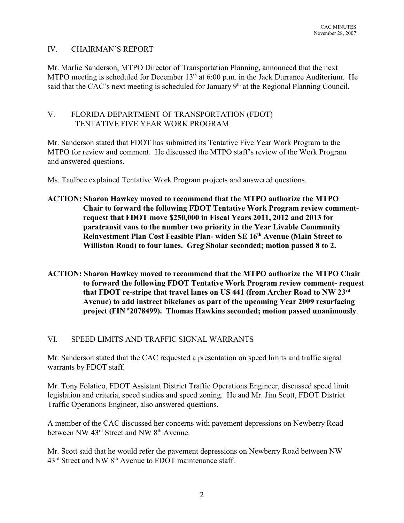# IV. CHAIRMAN'S REPORT

Mr. Marlie Sanderson, MTPO Director of Transportation Planning, announced that the next MTPO meeting is scheduled for December  $13<sup>th</sup>$  at 6:00 p.m. in the Jack Durrance Auditorium. He said that the CAC's next meeting is scheduled for January  $9<sup>th</sup>$  at the Regional Planning Council.

# V. FLORIDA DEPARTMENT OF TRANSPORTATION (FDOT) TENTATIVE FIVE YEAR WORK PROGRAM

Mr. Sanderson stated that FDOT has submitted its Tentative Five Year Work Program to the MTPO for review and comment. He discussed the MTPO staff's review of the Work Program and answered questions.

Ms. Taulbee explained Tentative Work Program projects and answered questions.

# **ACTION: Sharon Hawkey moved to recommend that the MTPO authorize the MTPO Chair to forward the following FDOT Tentative Work Program review commentrequest that FDOT move \$250,000 in Fiscal Years 2011, 2012 and 2013 for paratransit vans to the number two priority in the Year Livable Community Reinvestment Plan Cost Feasible Plan- widen SE 16<sup>th</sup> Avenue (Main Street to Williston Road) to four lanes. Greg Sholar seconded; motion passed 8 to 2.**

**ACTION: Sharon Hawkey moved to recommend that the MTPO authorize the MTPO Chair to forward the following FDOT Tentative Work Program review comment- request that FDOT re-stripe that travel lanes on US 441 (from Archer Road to NW 23rd Avenue) to add instreet bikelanes as part of the upcoming Year 2009 resurfacing project (FIN 2078499). Thomas Hawkins seconded; motion passed unanimously**. **#**

# VI. SPEED LIMITS AND TRAFFIC SIGNAL WARRANTS

Mr. Sanderson stated that the CAC requested a presentation on speed limits and traffic signal warrants by FDOT staff.

Mr. Tony Folatico, FDOT Assistant District Traffic Operations Engineer, discussed speed limit legislation and criteria, speed studies and speed zoning. He and Mr. Jim Scott, FDOT District Traffic Operations Engineer, also answered questions.

A member of the CAC discussed her concerns with pavement depressions on Newberry Road between NW  $43<sup>rd</sup>$  Street and NW  $8<sup>th</sup>$  Avenue.

Mr. Scott said that he would refer the pavement depressions on Newberry Road between NW  $43<sup>rd</sup>$  Street and NW  $8<sup>th</sup>$  Avenue to FDOT maintenance staff.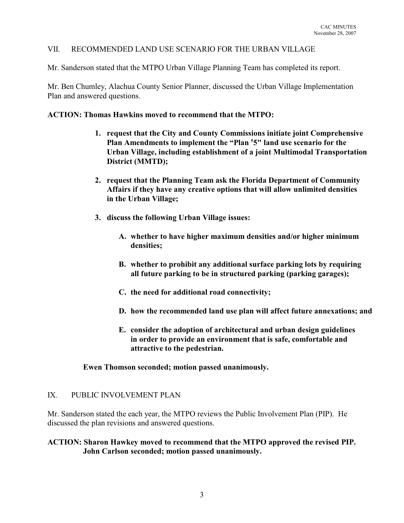# VII. RECOMMENDED LAND USE SCENARIO FOR THE URBAN VILLAGE

Mr. Sanderson stated that the MTPO Urban Village Planning Team has completed its report.

Mr. Ben Chumley, Alachua County Senior Planner, discussed the Urban Village Implementation Plan and answered questions.

### **ACTION: Thomas Hawkins moved to recommend that the MTPO:**

- **1. request that the City and County Commissions initiate joint Comprehensive** Plan Amendments to implement the "Plan <sup>#</sup>5" land use scenario for the **Urban Village, including establishment of a joint Multimodal Transportation District (MMTD);**
- **2. request that the Planning Team ask the Florida Department of Community Affairs if they have any creative options that will allow unlimited densities in the Urban Village;**
- **3. discuss the following Urban Village issues:**
	- **A. whether to have higher maximum densities and/or higher minimum densities;**
	- **B. whether to prohibit any additional surface parking lots by requiring all future parking to be in structured parking (parking garages);**
	- **C. the need for additional road connectivity;**
	- **D. how the recommended land use plan will affect future annexations; and**
	- **E. consider the adoption of architectural and urban design guidelines in order to provide an environment that is safe, comfortable and attractive to the pedestrian.**

**Ewen Thomson seconded; motion passed unanimously.**

### IX. PUBLIC INVOLVEMENT PLAN

Mr. Sanderson stated the each year, the MTPO reviews the Public Involvement Plan (PIP). He discussed the plan revisions and answered questions.

# **ACTION: Sharon Hawkey moved to recommend that the MTPO approved the revised PIP. John Carlson seconded; motion passed unanimously.**